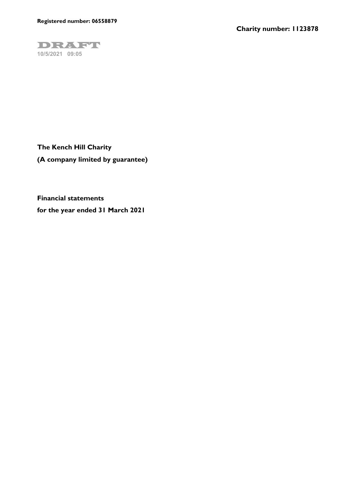

**Financial statements for the year ended 31 March 2021**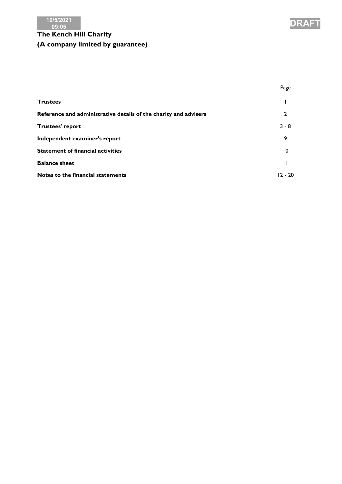



|                                                                  | Page            |
|------------------------------------------------------------------|-----------------|
| <b>Trustees</b>                                                  |                 |
| Reference and administrative details of the charity and advisers | $\mathbf{2}$    |
| Trustees' report                                                 | $3 - 8$         |
| Independent examiner's report                                    | 9               |
| <b>Statement of financial activities</b>                         | $\overline{10}$ |
| <b>Balance sheet</b>                                             | $\mathbf{1}$    |
| Notes to the financial statements                                | $12 - 20$       |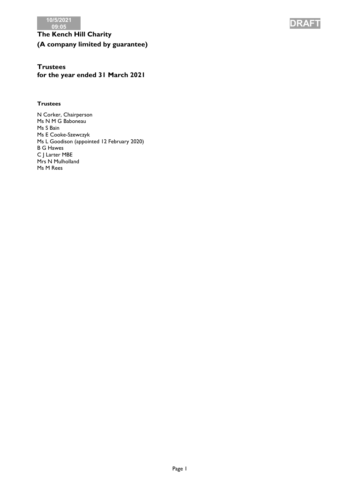

# **Trustees**

**for the year ended 31 March 2021**

### **Trustees**

N Corker, Chairperson Ms N M G Baboneau Ms S Bain Ms E Cooke-Szewczyk Ms L Goodison (appointed 12 February 2020) B G Hawes C J Larter MBE Mrs N Mulholland Ms M Rees

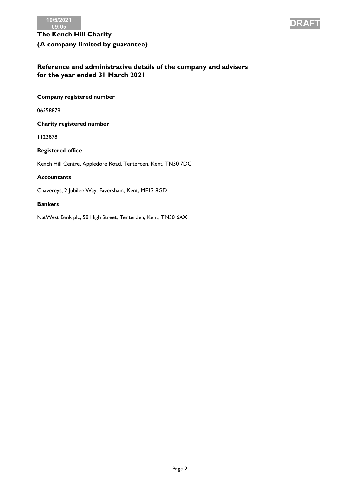



### **Reference and administrative details of the company and advisers for the year ended 31 March 2021**

**Company registered number**

06558879

**Charity registered number**

1123878

**Registered office**

Kench Hill Centre, Appledore Road, Tenterden, Kent, TN30 7DG

### **Accountants**

Chavereys, 2 Jubilee Way, Faversham, Kent, ME13 8GD

### **Bankers**

NatWest Bank plc, 58 High Street, Tenterden, Kent, TN30 6AX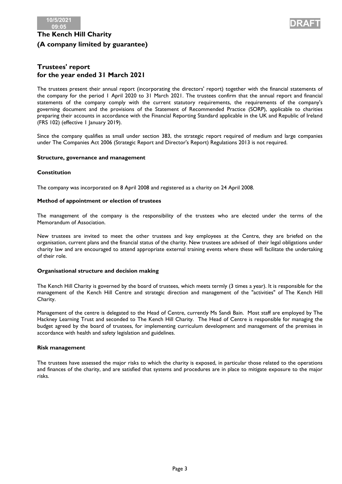

### **Trustees' report for the year ended 31 March 2021**

The trustees present their annual report (incorporating the directors' report) together with the financial statements of the company for the period 1 April 2020 to 31 March 2021. The trustees confirm that the annual report and financial statements of the company comply with the current statutory requirements, the requirements of the company's governing document and the provisions of the Statement of Recommended Practice (SORP), applicable to charities preparing their accounts in accordance with the Financial Reporting Standard applicable in the UK and Republic of Ireland (FRS 102) (effective 1 January 2019).

Since the company qualifies as small under section 383, the strategic report required of medium and large companies under The Companies Act 2006 (Strategic Report and Director's Report) Regulations 2013 is not required.

#### **Structure, governance and management**

### **Constitution**

The company was incorporated on 8 April 2008 and registered as a charity on 24 April 2008.

### **Method of appointment or election of trustees**

The management of the company is the responsibility of the trustees who are elected under the terms of the Memorandum of Association.

New trustees are invited to meet the other trustees and key employees at the Centre, they are briefed on the organisation, current plans and the financial status of the charity. New trustees are advised of their legal obligations under charity law and are encouraged to attend appropriate external training events where these will facilitate the undertaking of their role.

### **Organisational structure and decision making**

The Kench Hill Charity is governed by the board of trustees, which meets termly (3 times a year). It is responsible for the management of the Kench Hill Centre and strategic direction and management of the "activities" of The Kench Hill Charity.

Management of the centre is delegated to the Head of Centre, currently Ms Sandi Bain. Most staff are employed by The Hackney Learning Trust and seconded to The Kench Hill Charity. The Head of Centre is responsible for managing the budget agreed by the board of trustees, for implementing curriculum development and management of the premises in accordance with health and safety legislation and guidelines.

#### **Risk management**

The trustees have assessed the major risks to which the charity is exposed, in particular those related to the operations and finances of the charity, and are satisfied that systems and procedures are in place to mitigate exposure to the major risks.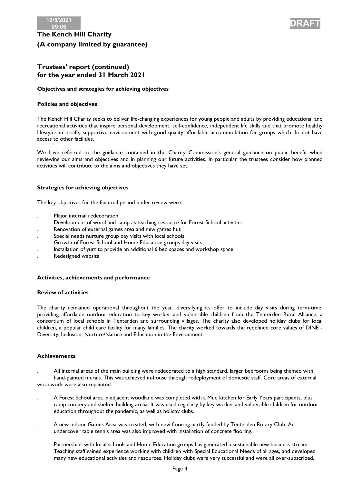



### **Trustees' report (continued) for the year ended 31 March 2021**

### **Objectives and strategies for achieving objectives**

### **Policies and objectives**

The Kench Hill Charity seeks to deliver life-changing experiences for young people and adults by providing educational and recreational activities that inspire personal development, self-confidence, independent life skills and that promote healthy lifestyles in a safe, supportive environment with good quality affordable accommodation for groups which do not have access to other facilities.

We have referred to the guidance contained in the Charity Commission's general guidance on public benefit when reviewing our aims and objectives and in planning our future activities. In particular the trustees consider how planned activities will contribute to the aims and objectives they have set.

### **Strategies for achieving objectives**

The key objectives for the financial period under review were:

- . Major internal redecoration
- . Development of woodland camp as teaching resource for Forest School activities
- . Renovation of external games area and new games hut
- . Special needs nurture group day visits with local schools
- . Growth of Forest School and Home Education groups day visits
- . Installation of yurt to provide an additional 6 bed spaces and workshop space
- . Redesigned website

#### **Activities, achievements and performance**

#### **Review of activities**

The charity remained operational throughout the year, diversifying its offer to include day visits during term-time, providing affordable outdoor education to key worker and vulnerable children from the Tenterden Rural Alliance, a consortium of local schools in Tenterden and surrounding villages. The charity also developed holiday clubs for local children, a popular child care facility for many families. The charity worked towards the redefined core values of DINE - Diversity, Inclusion, Nurture/Nature and Education in the Environment.

#### **Achievements**

- . All internal areas of the main building were redecorated to a high standard, larger bedrooms being themed with hand-painted murals. This was achieved in-house through redeployment of domestic staff. Core areas of external woodwork were also repainted.
- . A Forest School area in adjacent woodland was completed with a Mud kitchen for Early Years participants, plus camp cookery and shelter-building areaa. It was used regularly by key worker and vulnerable children for outdoor education throughout the pandemic, as well as holiday clubs.
- . A new indoor Games Area was created, with new flooring partly funded by Tenterden Rotary Club. An undercover table tennis area was also improved with installation of concrete flooring.
- . Partnerships with local schools and Home Education groups has generated a sustainable new business stream. Teaching staff gained experience working with children with Special Educational Needs of all ages, and developed many new educational activities and resources. Holiday clubs were very successful and were all over-subscribed.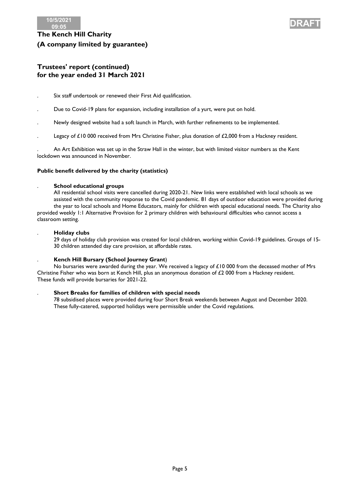



### **Trustees' report (continued) for the year ended 31 March 2021**

- . Six staff undertook or renewed their First Aid qualification.
- . Due to Covid-19 plans for expansion, including installation of a yurt, were put on hold.
- . Newly designed website had a soft launch in March, with further refinements to be implemented.
- Legacy of £10 000 received from Mrs Christine Fisher, plus donation of £2,000 from a Hackney resident.

. An Art Exhibition was set up in the Straw Hall in the winter, but with limited visitor numbers as the Kent lockdown was announced in November.

#### **Public benefit delivered by the charity (statistics)**

#### . **School educational groups**

All residential school visits were cancelled during 2020-21. New links were established with local schools as we assisted with the community response to the Covid pandemic. 81 days of outdoor education were provided during the year to local schools and Home Educators, mainly for children with special educational needs. The Charity also provided weekly 1:1 Alternative Provision for 2 primary children with behavioural difficulties who cannot access a classroom setting.

#### . **Holiday clubs**

29 days of holiday club provision was created for local children, working within Covid-19 guidelines. Groups of 15- 30 children attended day care provision, at affordable rates.

#### . **Kench Hill Bursary (School Journey Grant**)

No bursaries were awarded during the year. We received a legacy of  $£10000$  from the deceased mother of Mrs Christine Fisher who was born at Kench Hill, plus an anonymous donation of £2 000 from a Hackney resident. These funds will provide bursaries for 2021-22.

#### . **Short Breaks for families of children with special needs**

78 subsidised places were provided during four Short Break weekends between August and December 2020. These fully-catered, supported holidays were permissible under the Covid regulations.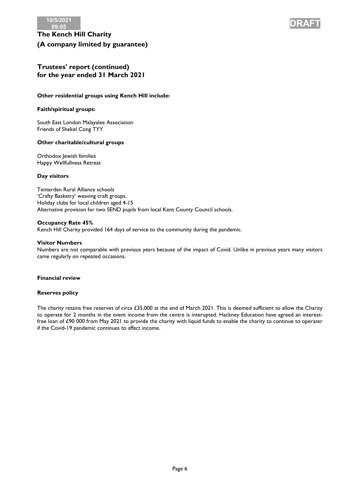



### **Trustees' report (continued) for the year ended 31 March 2021**

### **Other residential groups using Kench Hill include:**

### **Faith/spiritual groups:**

South East London Malayalee Association Friends of Shekel Cong TYY

#### **Other charitable/cultural groups**

Orthodox Jewish families Happy Wellfullness Retreat

#### **Day visitors**

Tenterden Rural Alliance schools 'Crafty Basketry' weaving craft groups. Holiday clubs for local children aged 4-15 Alternative provision for two SEND pupils from local Kent County Council schools.

#### **Occupancy Rate 45%**

Kench Hill Charity provided 164 days of service to the community during the pandemic.

#### **Visitor Numbers**

Numbers are not comparable with previous years because of the impact of Covid. Unlike in previous years many visitors came regularly on repeated occasions.

#### **Financial review**

#### **Reserves policy**

The charity retains free reserves of circa £35,000 at the end of March 2021. This is deemed sufficient to allow the Charity to operate for 2 months in the event income from the centre is interupted. Hackney Education have agreed an interestfree loan of £90 000 from May 2021 to provide the charity with liquid funds to enable the charity to continue to operater if the Covid-19 pandemic continues to affect income.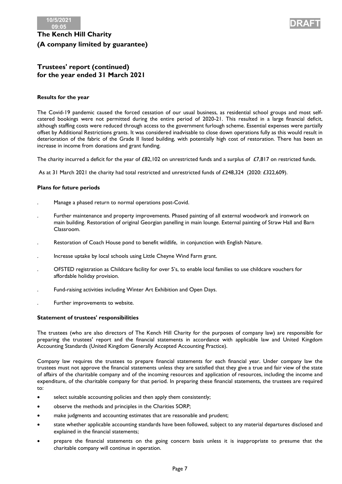



### **Trustees' report (continued) for the year ended 31 March 2021**

### **Results for the year**

The Covid-19 pandemic caused the forced cessation of our usual business, as residential school groups and most selfcatered bookings were not permitted during the entire period of 2020-21. This resulted in a large financial deficit, although staffing costs were reduced through access to the government furlough scheme. Essential expenses were partially offset by Additional Restrictions grants. It was considered inadvisable to close down operations fully as this would result in deterioration of the fabric of the Grade II listed building, with potentially high cost of restoration. There has been an increase in income from donations and grant funding.

The charity incurred a deficit for the year of £82,102 on unrestricted funds and a surplus of £7,817 on restricted funds.

As at 31 March 2021 the charity had total restricted and unrestricted funds of £248,324 (2020: £322,609).

#### **Plans for future periods**

- . Manage a phased return to normal operations post-Covid.
- . Further maintenance and property improvements. Phased painting of all external woodwork and ironwork on main building. Restoration of original Georgian panelling in main lounge. External painting of Straw Hall and Barn Classroom.
- . Restoration of Coach House pond to benefit wildlife, in conjunction with English Nature.
- . Increase uptake by local schools using Little Cheyne Wind Farm grant.
- . OFSTED registration as Childcare facility for over 5's, to enable local families to use childcare vouchers for affordable holiday provision.
- . Fund-raising activities including Winter Art Exhibition and Open Days.
- . Further improvements to website.

#### **Statement of trustees' responsibilities**

The trustees (who are also directors of The Kench Hill Charity for the purposes of company law) are responsible for preparing the trustees' report and the financial statements in accordance with applicable law and United Kingdom Accounting Standards (United Kingdom Generally Accepted Accounting Practice).

Company law requires the trustees to prepare financial statements for each financial year. Under company law the trustees must not approve the financial statements unless they are satisfied that they give a true and fair view of the state of affairs of the charitable company and of the incoming resources and application of resources, including the income and expenditure, of the charitable company for that period. In preparing these financial statements, the trustees are required to:

- select suitable accounting policies and then apply them consistently;
- observe the methods and principles in the Charities SORP;
- make judgments and accounting estimates that are reasonable and prudent;
- state whether applicable accounting standards have been followed, subject to any material departures disclosed and explained in the financial statements;
- prepare the financial statements on the going concern basis unless it is inappropriate to presume that the charitable company will continue in operation.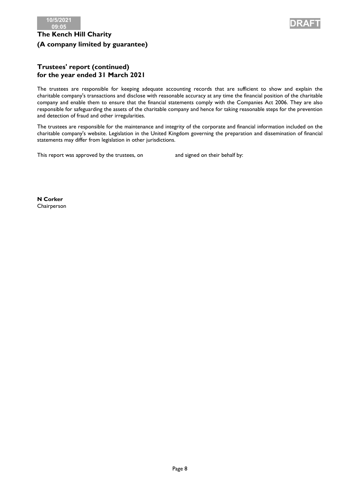



### **Trustees' report (continued) for the year ended 31 March 2021**

The trustees are responsible for keeping adequate accounting records that are sufficient to show and explain the charitable company's transactions and disclose with reasonable accuracy at any time the financial position of the charitable company and enable them to ensure that the financial statements comply with the Companies Act 2006. They are also responsible for safeguarding the assets of the charitable company and hence for taking reasonable steps for the prevention and detection of fraud and other irregularities.

The trustees are responsible for the maintenance and integrity of the corporate and financial information included on the charitable company's website. Legislation in the United Kingdom governing the preparation and dissemination of financial statements may differ from legislation in other jurisdictions.

This report was approved by the trustees, on and signed on their behalf by:

**N Corker** Chairperson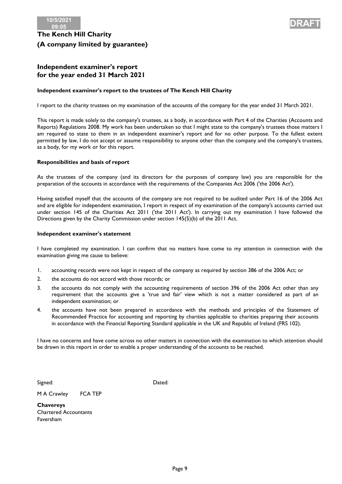

### **Independent examiner's report for the year ended 31 March 2021**

### **Independent examiner's report to the trustees of The Kench Hill Charity**

I report to the charity trustees on my examination of the accounts of the company for the year ended 31 March 2021.

This report is made solely to the company's trustees, as a body, in accordance with Part 4 of the Charities (Accounts and Reports) Regulations 2008. My work has been undertaken so that I might state to the company's trustees those matters I am required to state to them in an independent examiner's report and for no other purpose. To the fullest extent permitted by law, I do not accept or assume responsibility to anyone other than the company and the company's trustees, as a body, for my work or for this report.

### **Responsibilities and basis of report**

As the trustees of the company (and its directors for the purposes of company law) you are responsible for the preparation of the accounts in accordance with the requirements of the Companies Act 2006 ('the 2006 Act').

Having satisfied myself that the accounts of the company are not required to be audited under Part 16 of the 2006 Act and are eligible for independent examination, I report in respect of my examination of the company's accounts carried out under section 145 of the Charities Act 2011 ('the 2011 Act'). In carrying out my examination I have followed the Directions given by the Charity Commission under section 145(5)(b) of the 2011 Act.

#### **Independent examiner's statement**

I have completed my examination. I can confirm that no matters have come to my attention in connection with the examination giving me cause to believe:

- 1. accounting records were not kept in respect of the company as required by section 386 of the 2006 Act; or
- 2. the accounts do not accord with those records; or
- 3. the accounts do not comply with the accounting requirements of section 396 of the 2006 Act other than any requirement that the accounts give a 'true and fair' view which is not a matter considered as part of an independent examination; or
- 4. the accounts have not been prepared in accordance with the methods and principles of the Statement of Recommended Practice for accounting and reporting by charities applicable to charities preparing their accounts in accordance with the Financial Reporting Standard applicable in the UK and Republic of Ireland (FRS 102).

I have no concerns and have come across no other matters in connection with the examination to which attention should be drawn in this report in order to enable a proper understanding of the accounts to be reached.

Signed: Dated:

M A Crawley FCA TEP

**Chavereys** Chartered Accountants Faversham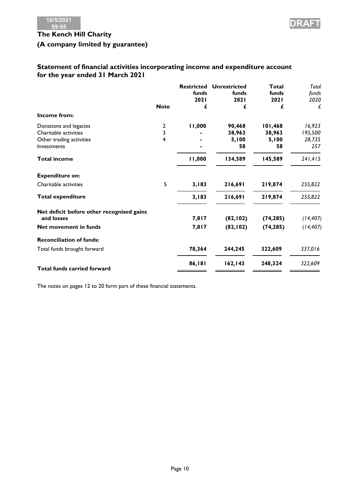### **Statement of financial activities incorporating income and expenditure account for the year ended 31 March 2021**

|                                           |             | <b>Restricted</b><br>funds<br>2021 | <b>Unrestricted</b><br>funds<br>2021 | Total<br>funds<br>2021 | Total<br>funds<br>2020 |
|-------------------------------------------|-------------|------------------------------------|--------------------------------------|------------------------|------------------------|
|                                           | <b>Note</b> | £                                  | £                                    | £                      | £                      |
| Income from:                              |             |                                    |                                      |                        |                        |
| Donations and legacies                    | 2           | 11,000                             | 90,468                               | 101,468                | 16,923                 |
| Charitable activities                     | 3           |                                    | 38,963                               | 38,963                 | 195,500                |
| Other trading activities                  | 4           |                                    | 5,100                                | 5,100                  | 28,735                 |
| Investments                               |             |                                    | 58                                   | 58                     | 257                    |
| <b>Total income</b>                       |             | 11,000                             | 134,589                              | 145,589                | 241,415                |
| <b>Expenditure on:</b>                    |             |                                    |                                      |                        |                        |
| Charitable activities                     | 5           | 3,183                              | 216,691                              | 219,874                | 255,822                |
| <b>Total expenditure</b>                  |             | 3,183                              | 216,691                              | 219,874                | 255,822                |
| Net deficit before other recognised gains |             |                                    |                                      |                        |                        |
| and losses                                |             | 7,817                              | (82, 102)                            | (74, 285)              | (14, 407)              |
| Net movement in funds                     |             | 7,817                              | (82, 102)                            | (74, 285)              | (14, 407)              |
| <b>Reconciliation of funds:</b>           |             |                                    |                                      |                        |                        |
| Total funds brought forward               |             | 78,364                             | 244,245                              | 322,609                | 337,016                |
| <b>Total funds carried forward</b>        |             | 86,181                             | 162, 143                             | 248,324                | 322,609                |
|                                           |             |                                    |                                      |                        |                        |

The notes on pages 12 to 20 form part of these financial statements.

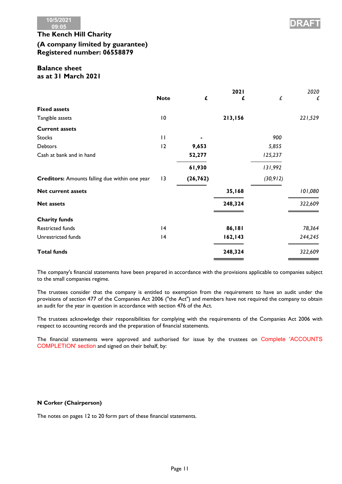

## **The Kench Hill Charity (A company limited by guarantee) Registered number: 06558879**

### **Balance sheet as at 31 March 2021**

|                                                |                 |           | 2021     |                    | 2020    |
|------------------------------------------------|-----------------|-----------|----------|--------------------|---------|
|                                                | <b>Note</b>     | £         | £        | $\pmb{\mathit{f}}$ | £       |
| <b>Fixed assets</b>                            |                 |           |          |                    |         |
| Tangible assets                                | $\overline{10}$ |           | 213,156  |                    | 221,529 |
| <b>Current assets</b>                          |                 |           |          |                    |         |
| <b>Stocks</b>                                  | $\mathbf{H}$    |           |          | 900                |         |
| <b>Debtors</b>                                 | 12              | 9,653     |          | 5,855              |         |
| Cash at bank and in hand                       |                 | 52,277    |          | 125,237            |         |
|                                                |                 | 61,930    |          | 131,992            |         |
| Creditors: Amounts falling due within one year | 3               | (26, 762) |          | (30, 912)          |         |
| <b>Net current assets</b>                      |                 |           | 35,168   |                    | 101,080 |
| <b>Net assets</b>                              |                 |           | 248,324  |                    | 322,609 |
|                                                |                 |           |          |                    |         |
| <b>Charity funds</b>                           |                 |           |          |                    |         |
| Restricted funds                               | 4               |           | 86,181   |                    | 78,364  |
| Unrestricted funds                             | 4               |           | 162, 143 |                    | 244,245 |
| <b>Total funds</b>                             |                 |           | 248,324  |                    | 322,609 |

The company's financial statements have been prepared in accordance with the provisions applicable to companies subject to the small companies regime.

The trustees consider that the company is entitled to exemption from the requirement to have an audit under the provisions of section 477 of the Companies Act 2006 ("the Act") and members have not required the company to obtain an audit for the year in question in accordance with section 476 of the Act.

The trustees acknowledge their responsibilities for complying with the requirements of the Companies Act 2006 with respect to accounting records and the preparation of financial statements.

The financial statements were approved and authorised for issue by the trustees on Complete 'ACCOUNTS COMPLETION' section and signed on their behalf, by:

### **N Corker (Chairperson)**

The notes on pages 12 to 20 form part of these financial statements.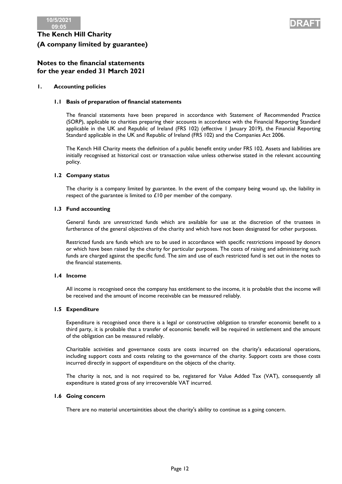

### **Notes to the financial statements for the year ended 31 March 2021**

### **1. Accounting policies**

### **1.1 Basis of preparation of financial statements**

The financial statements have been prepared in accordance with Statement of Recommended Practice (SORP), applicable to charities preparing their accounts in accordance with the Financial Reporting Standard applicable in the UK and Republic of Ireland (FRS 102) (effective 1 January 2019), the Financial Reporting Standard applicable in the UK and Republic of Ireland (FRS 102) and the Companies Act 2006.

The Kench Hill Charity meets the definition of a public benefit entity under FRS 102. Assets and liabilities are initially recognised at historical cost or transaction value unless otherwise stated in the relevant accounting policy.

### **1.2 Company status**

The charity is a company limited by guarantee. In the event of the company being wound up, the liability in respect of the guarantee is limited to £10 per member of the company.

### **1.3 Fund accounting**

General funds are unrestricted funds which are available for use at the discretion of the trustees in furtherance of the general objectives of the charity and which have not been designated for other purposes.

Restricted funds are funds which are to be used in accordance with specific restrictions imposed by donors or which have been raised by the charity for particular purposes. The costs of raising and administering such funds are charged against the specific fund. The aim and use of each restricted fund is set out in the notes to the financial statements.

#### **1.4 Income**

All income is recognised once the company has entitlement to the income, it is probable that the income will be received and the amount of income receivable can be measured reliably.

#### **1.5 Expenditure**

Expenditure is recognised once there is a legal or constructive obligation to transfer economic benefit to a third party, it is probable that a transfer of economic benefit will be required in settlement and the amount of the obligation can be measured reliably.

Charitable activities and governance costs are costs incurred on the charity's educational operations, including support costs and costs relating to the governance of the charity. Support costs are those costs incurred directly in support of expenditure on the objects of the charity.

The charity is not, and is not required to be, registered for Value Added Tax (VAT), consequently all expenditure is stated gross of any irrecoverable VAT incurred.

#### **1.6 Going concern**

There are no material uncertaintities about the charity's ability to continue as a going concern.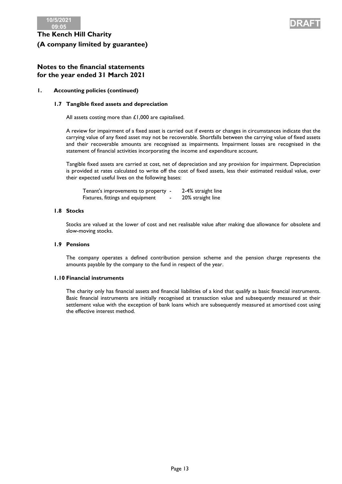



### **Notes to the financial statements for the year ended 31 March 2021**

### **1. Accounting policies (continued)**

### **1.7 Tangible fixed assets and depreciation**

All assets costing more than £1,000 are capitalised.

A review for impairment of a fixed asset is carried out if events or changes in circumstances indicate that the carrying value of any fixed asset may not be recoverable. Shortfalls between the carrying value of fixed assets and their recoverable amounts are recognised as impairments. Impairment losses are recognised in the statement of financial activities incorporating the income and expenditure account.

Tangible fixed assets are carried at cost, net of depreciation and any provision for impairment. Depreciation is provided at rates calculated to write off the cost of fixed assets, less their estimated residual value, over their expected useful lives on the following bases:

Tenant's improvements to property - 2-4% straight line Fixtures, fittings and equipment - 20% straight line

#### **1.8 Stocks**

Stocks are valued at the lower of cost and net realisable value after making due allowance for obsolete and slow-moving stocks.

### **1.9 Pensions**

The company operates a defined contribution pension scheme and the pension charge represents the amounts payable by the company to the fund in respect of the year.

#### **1.10 Financial instruments**

The charity only has financial assets and financial liabilities of a kind that qualify as basic financial instruments. Basic financial instruments are initially recognised at transaction value and subsequently measured at their settlement value with the exception of bank loans which are subsequently measured at amortised cost using the effective interest method.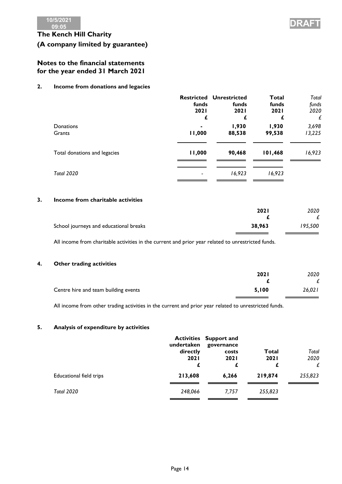

### **Notes to the financial statements for the year ended 31 March 2021**

### **2. Income from donations and legacies**

|                              | funds            | <b>Restricted Unrestricted</b><br>funds | Total<br>funds   | Total<br>funds  |
|------------------------------|------------------|-----------------------------------------|------------------|-----------------|
|                              | <b>2021</b><br>£ | <b>2021</b>                             | <b>2021</b><br>£ | 2020<br>£       |
| Donations<br>Grants          | ٠<br>11,000      | 1,930<br>88,538                         | 1,930<br>99,538  | 3,698<br>13,225 |
| Total donations and legacies | 11,000           | 90,468                                  | 101,468          | 16,923          |
| <b>Total 2020</b>            |                  | 16,923                                  | 16,923           |                 |

### **3. Income from charitable activities**

|                                        | <b>2021</b> | 2020    |
|----------------------------------------|-------------|---------|
|                                        |             |         |
| School journeys and educational breaks | 38,963      | 195,500 |

All income from charitable activities in the current and prior year related to unrestricted funds.

### **4. Other trading activities**

|                                      | <b>2021</b> | 2020   |
|--------------------------------------|-------------|--------|
|                                      |             |        |
| Centre hire and team building events | 5.100       | 26,021 |

All income from other trading activities in the current and prior year related to unrestricted funds.

#### **5. Analysis of expenditure by activities**

|                         | undertaken<br>directly<br><b>2021</b><br>£ | <b>Activities Support and</b><br>governance<br>costs<br><b>2021</b><br>£ | <b>Total</b><br><b>2021</b><br>£ | Total<br>2020<br>£ |
|-------------------------|--------------------------------------------|--------------------------------------------------------------------------|----------------------------------|--------------------|
| Educational field trips | 213,608                                    | 6,266                                                                    | 219,874                          | 255,823            |
| <b>Total 2020</b>       | 248,066                                    | 7.757                                                                    | 255,823                          |                    |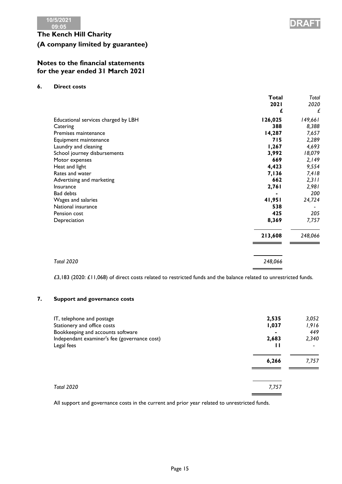

### **Notes to the financial statements for the year ended 31 March 2021**

### **6. Direct costs**

|                                     | Total   | Total   |
|-------------------------------------|---------|---------|
|                                     | 2021    | 2020    |
|                                     | £       | £       |
| Educational services charged by LBH | 126,025 | 149,661 |
| Catering                            | 388     | 8,388   |
| Premises maintenance                | 14,287  | 7,657   |
| Equipment maintenance               | 715     | 2,289   |
| Laundry and cleaning                | 1,267   | 4,693   |
| School journey disbursements        | 3,992   | 18,079  |
| Motor expenses                      | 669     | 2,149   |
| Heat and light                      | 4,423   | 9,554   |
| Rates and water                     | 7,136   | 7,418   |
| Advertising and marketing           | 662     | 2,311   |
| <b>Insurance</b>                    | 2,761   | 2,981   |
| <b>Bad debts</b>                    |         | 200     |
| Wages and salaries                  | 41,951  | 24,724  |
| National insurance                  | 538     |         |
| Pension cost                        | 425     | 205     |
| Depreciation                        | 8,369   | 7,757   |
|                                     | 213,608 | 248,066 |
|                                     |         |         |
| <b>Total 2020</b>                   | 248,066 |         |

£3,183 (2020: £11,068) of direct costs related to restricted funds and the balance related to unrestricted funds.

### **7. Support and governance costs**

| IT, telephone and postage                    | 2,535 | 3,052 |
|----------------------------------------------|-------|-------|
| Stationery and office costs                  | 1,037 | 1,916 |
| Bookkeeping and accounts software            | ۰     | 449   |
| Independant examiner's fee (governance cost) | 2,683 | 2,340 |
| Legal fees                                   | 6,266 | 7,757 |
| <b>Total 2020</b>                            | 7,757 |       |

All support and governance costs in the current and prior year related to unrestricted funds.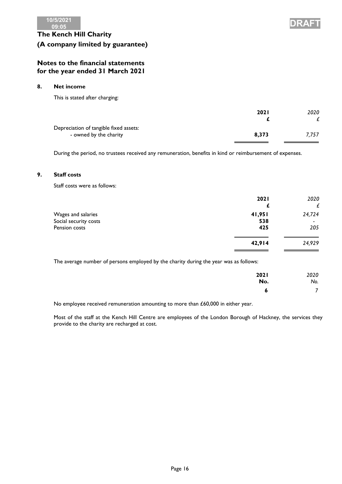



### **Notes to the financial statements for the year ended 31 March 2021**

### **8. Net income**

This is stated after charging:

|                                        | <b>2021</b> | 2020  |
|----------------------------------------|-------------|-------|
|                                        |             |       |
| Depreciation of tangible fixed assets: |             |       |
| - owned by the charity                 | 8.373       | 7.757 |
|                                        |             |       |

During the period, no trustees received any remuneration, benefits in kind or reimbursement of expenses.

### **9. Staff costs**

Staff costs were as follows:

|                       | 2021<br>t. | 2020<br>£ |
|-----------------------|------------|-----------|
| Wages and salaries    | 41,951     | 24,724    |
| Social security costs | 538        |           |
| Pension costs         | 425        | 205       |
|                       |            |           |
|                       | 42,914     | 24,929    |
|                       |            |           |

The average number of persons employed by the charity during the year was as follows:

| 2021 | 2020           |
|------|----------------|
| No.  | No.            |
| o    | $\overline{7}$ |

No employee received remuneration amounting to more than £60,000 in either year.

Most of the staff at the Kench Hill Centre are employees of the London Borough of Hackney, the services they provide to the charity are recharged at cost.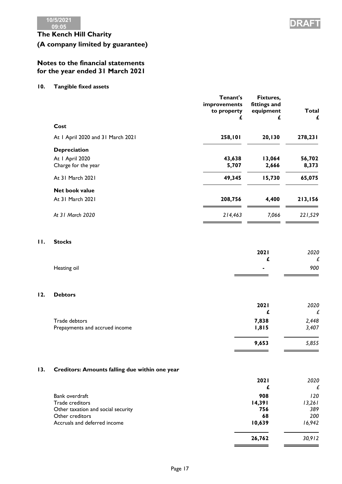### **Notes to the financial statements for the year ended 31 March 2021**

**10. Tangible fixed assets**

|     |                                   | Tenant's<br>improvements<br>to property<br>£ | Fixtures,<br>fittings and<br>equipment<br>£ | <b>Total</b><br>£ |
|-----|-----------------------------------|----------------------------------------------|---------------------------------------------|-------------------|
|     | Cost                              |                                              |                                             |                   |
|     | At I April 2020 and 31 March 2021 | 258,101                                      | 20,130                                      | 278,231           |
|     | <b>Depreciation</b>               |                                              |                                             |                   |
|     | At I April 2020                   | 43,638                                       | 13,064                                      | 56,702            |
|     | Charge for the year               | 5,707                                        | 2,666                                       | 8,373             |
|     | At 31 March 2021                  | 49,345                                       | 15,730                                      | 65,075            |
|     | Net book value                    |                                              |                                             |                   |
|     | At 31 March 2021                  | 208,756                                      | 4,400                                       | 213,156           |
|     | At 31 March 2020                  | 214,463                                      | 7,066                                       | 221,529           |
| 11. | <b>Stocks</b>                     |                                              |                                             |                   |
|     |                                   |                                              | 2021                                        | 2020              |
|     |                                   |                                              | £                                           | £                 |
|     | Heating oil                       |                                              |                                             | 900               |
| 12. | <b>Debtors</b>                    |                                              |                                             |                   |
|     |                                   |                                              | 2021                                        | 2020              |
|     |                                   |                                              | £                                           | £                 |
|     | Trade debtors                     |                                              | 7,838                                       | 2,448             |
|     | Prepayments and accrued income    |                                              | 1,815                                       | 3,407             |

### **13. Creditors: Amounts falling due within one year**

|                                    | <b>2021</b><br>£ | 2020<br>£ |
|------------------------------------|------------------|-----------|
| Bank overdraft                     | 908              | 120       |
| Trade creditors                    | 14,391           | 13,261    |
| Other taxation and social security | 756              | 389       |
| Other creditors                    | 68               | 200       |
| Accruals and deferred income       | 10,639           | 16,942    |
|                                    | 26,762           | 30,912    |



**9,653** *5,855*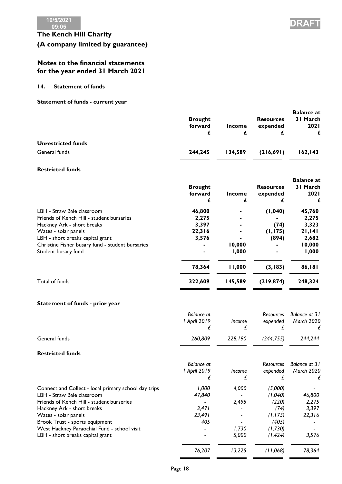

### **Notes to the financial statements for the year ended 31 March 2021**

### **14. Statement of funds**

### **Statement of funds - current year**

|                           |                |         |                  | <b>Balance at</b> |
|---------------------------|----------------|---------|------------------|-------------------|
|                           | <b>Brought</b> |         | <b>Resources</b> | 31 March          |
|                           | forward        | Income  | expended         | <b>2021</b>       |
| <b>Unrestricted funds</b> |                |         |                  |                   |
| General funds             | 244.245        | 134,589 | (216,691)        | 162, 143          |
|                           |                |         |                  |                   |

### **Restricted funds**

|                                                  | <b>Brought</b><br>forward<br>£ | <b>Income</b><br>£ | <b>Resources</b><br>expended | <b>Balance</b> at<br>31 March<br><b>2021</b> |
|--------------------------------------------------|--------------------------------|--------------------|------------------------------|----------------------------------------------|
| LBH - Straw Bale classroom                       | 46,800                         |                    | (1,040)                      | 45,760                                       |
| Friends of Kench Hill - student bursaries        | 2,275                          |                    |                              | 2,275                                        |
| Hackney Ark - short breaks                       | 3,397                          |                    | (74)                         | 3,323                                        |
| Wates - solar panels                             | 22,316                         |                    | (1, 175)                     | 21,141                                       |
| LBH - short breaks capital grant                 | 3,576                          |                    | (894)                        | 2,682                                        |
| Christine Fisher busary fund - student bursaries |                                | 10,000             |                              | 10,000                                       |
| Student busary fund                              |                                | 1,000              |                              | 1,000                                        |
|                                                  | 78,364                         | 11,000             | (3, 183)                     | 86,181                                       |
| Total of funds                                   | 322,609                        | 145,589            | (219, 874)                   | 248,324                                      |
|                                                  |                                |                    |                              |                                              |

### **Statement of funds - prior year**

| <b>Balance at</b><br>I April 2019<br>£ | <i>Income</i> | <b>Resources</b><br>expended | Balance at 31<br>March 2020 |
|----------------------------------------|---------------|------------------------------|-----------------------------|
| 260,809                                | 228,190       | (244, 755)                   | 244,244                     |
|                                        |               |                              |                             |
| <b>Balance at</b>                      |               | <b>Resources</b>             | Balance at 31               |
| I April 2019                           | <i>Income</i> | expended                     | March 2020                  |
| £                                      |               |                              |                             |
| 1,000                                  | 4,000         | (5,000)                      |                             |
| 47,840                                 |               | (1,040)                      | 46,800                      |
|                                        | 2,495         | (220)                        | 2,275                       |
| 3,471                                  |               | (74)                         | 3,397                       |
| 23,491                                 |               | (1, 175)                     | 22,316                      |
| 405                                    |               | (405)                        |                             |
|                                        | 1,730         | (1,730)                      |                             |
|                                        | 5,000         | (1, 424)                     | 3,576                       |
| 76,207                                 | 13,225        | (11,068)                     | 78,364                      |
|                                        |               |                              |                             |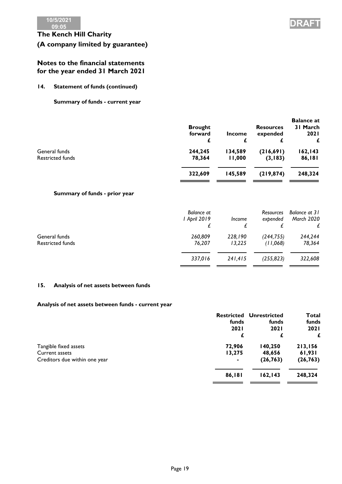

### **Notes to the financial statements for the year ended 31 March 2021**

### **14. Statement of funds (continued)**

**Summary of funds - current year**

|                                          | <b>Brought</b><br>forward<br>£ | <b>Income</b>     | <b>Resources</b><br>expended | <b>Balance at</b><br>31 March<br><b>2021</b> |
|------------------------------------------|--------------------------------|-------------------|------------------------------|----------------------------------------------|
| General funds<br><b>Restricted funds</b> | 244,245<br>78,364              | 134,589<br>11,000 | (216,691)<br>(3, 183)        | 162, 143<br>86,181                           |
|                                          | 322,609                        | 145.589           | (219, 874)                   | 248,324                                      |

### **Summary of funds - prior year**

|                                   | Balance at<br>l April 2019 | Income            | <b>Resources</b><br>expended | Balance at 31<br><b>March 2020</b> |
|-----------------------------------|----------------------------|-------------------|------------------------------|------------------------------------|
| General funds<br>Restricted funds | 260,809<br>76,207          | 228,190<br>13,225 | (244, 755)<br>(11,068)       | 244,244<br>78,364                  |
|                                   | 337.016                    | 241.415           | (255, 823)                   | 322,608                            |

### **15. Analysis of net assets between funds**

### **Analysis of net assets between funds - current year**

|                               | <b>Restricted</b> | <b>Unrestricted</b> | <b>Total</b> |
|-------------------------------|-------------------|---------------------|--------------|
|                               | funds             | funds               | funds        |
|                               | <b>2021</b>       | <b>2021</b>         | <b>2021</b>  |
|                               | £                 | £                   |              |
| Tangible fixed assets         | 72,906            | 140,250             | 213,156      |
| Current assets                | 13,275            | 48,656              | 61,931       |
| Creditors due within one year | ٠                 | (26, 763)           | (26, 763)    |
|                               | 86,181            | 162, 143            | 248,324      |
|                               |                   |                     |              |